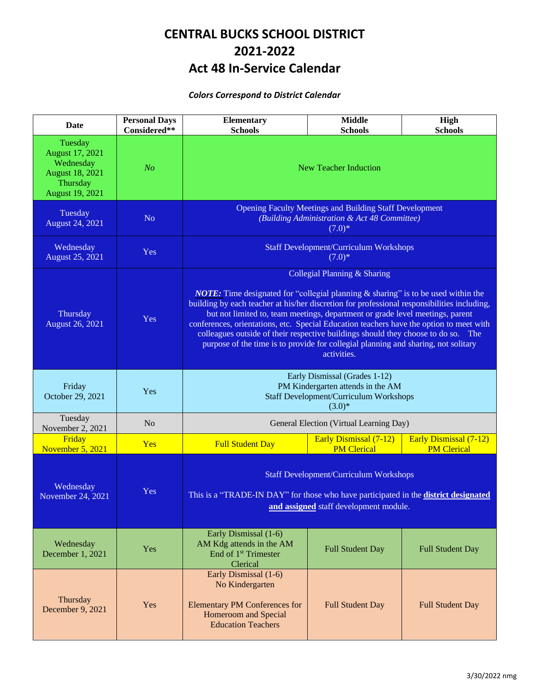## **CENTRAL BUCKS SCHOOL DISTRICT 2021-2022 Act 48 In-Service Calendar**

## *Colors Correspond to District Calendar*

| Date                                                                                      | <b>Personal Days</b><br>Considered** | <b>Elementary</b><br><b>Schools</b>                                                                                                                                                                                                                                                                                                                                                                                                                                                                                                                                                              | <b>Middle</b><br><b>Schools</b>                     | High<br><b>Schools</b>                       |
|-------------------------------------------------------------------------------------------|--------------------------------------|--------------------------------------------------------------------------------------------------------------------------------------------------------------------------------------------------------------------------------------------------------------------------------------------------------------------------------------------------------------------------------------------------------------------------------------------------------------------------------------------------------------------------------------------------------------------------------------------------|-----------------------------------------------------|----------------------------------------------|
| Tuesday<br>August 17, 2021<br>Wednesday<br>August 18, 2021<br>Thursday<br>August 19, 2021 | N <sub>O</sub>                       | <b>New Teacher Induction</b>                                                                                                                                                                                                                                                                                                                                                                                                                                                                                                                                                                     |                                                     |                                              |
| Tuesday<br>August 24, 2021                                                                | N <sub>o</sub>                       | <b>Opening Faculty Meetings and Building Staff Development</b><br>(Building Administration & Act 48 Committee)<br>$(7.0)*$                                                                                                                                                                                                                                                                                                                                                                                                                                                                       |                                                     |                                              |
| Wednesday<br>August 25, 2021                                                              | Yes                                  | <b>Staff Development/Curriculum Workshops</b><br>$(7.0)*$                                                                                                                                                                                                                                                                                                                                                                                                                                                                                                                                        |                                                     |                                              |
| Thursday<br>August 26, 2021                                                               | Yes                                  | Collegial Planning & Sharing<br><b>NOTE:</b> Time designated for "collegial planning $\&$ sharing" is to be used within the<br>building by each teacher at his/her discretion for professional responsibilities including,<br>but not limited to, team meetings, department or grade level meetings, parent<br>conferences, orientations, etc. Special Education teachers have the option to meet with<br>colleagues outside of their respective buildings should they choose to do so. The<br>purpose of the time is to provide for collegial planning and sharing, not solitary<br>activities. |                                                     |                                              |
| Friday<br>October 29, 2021                                                                | Yes                                  | Early Dismissal (Grades 1-12)<br>PM Kindergarten attends in the AM<br><b>Staff Development/Curriculum Workshops</b><br>$(3.0)*$                                                                                                                                                                                                                                                                                                                                                                                                                                                                  |                                                     |                                              |
| Tuesday<br>November 2, 2021                                                               | N <sub>o</sub>                       | General Election (Virtual Learning Day)                                                                                                                                                                                                                                                                                                                                                                                                                                                                                                                                                          |                                                     |                                              |
| Friday<br>November 5, 2021                                                                | Yes                                  | <b>Full Student Day</b>                                                                                                                                                                                                                                                                                                                                                                                                                                                                                                                                                                          | <b>Early Dismissal (7-12)</b><br><b>PM Clerical</b> | Early Dismissal (7-12)<br><b>PM Clerical</b> |
| Wednesday<br>November 24, 2021                                                            | Yes                                  | <b>Staff Development/Curriculum Workshops</b><br>This is a "TRADE-IN DAY" for those who have participated in the district designated<br>and assigned staff development module.                                                                                                                                                                                                                                                                                                                                                                                                                   |                                                     |                                              |
| Wednesday<br>December 1, 2021                                                             | Yes                                  | Early Dismissal (1-6)<br>AM Kdg attends in the AM<br>End of 1 <sup>st</sup> Trimester<br>Clerical                                                                                                                                                                                                                                                                                                                                                                                                                                                                                                | <b>Full Student Day</b>                             | <b>Full Student Day</b>                      |
| Thursday<br>December 9, 2021                                                              | Yes                                  | Early Dismissal (1-6)<br>No Kindergarten<br><b>Elementary PM Conferences for</b><br><b>Homeroom and Special</b><br><b>Education Teachers</b>                                                                                                                                                                                                                                                                                                                                                                                                                                                     | <b>Full Student Day</b>                             | <b>Full Student Day</b>                      |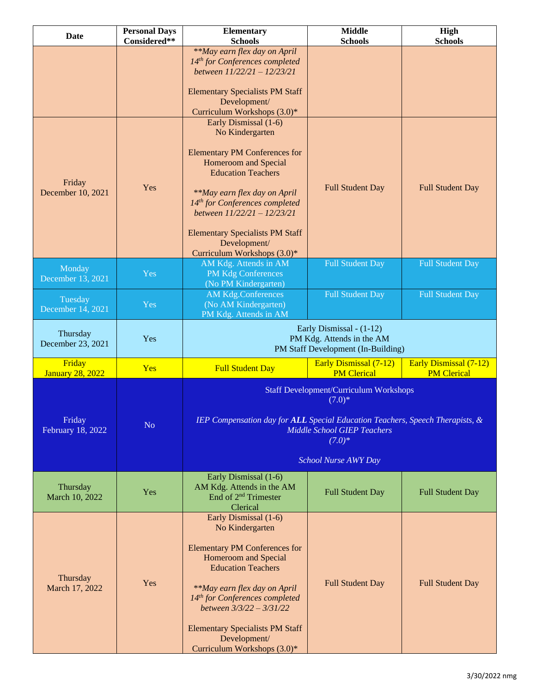| <b>Date</b>                       | <b>Personal Days</b><br>Considered** | <b>Elementary</b><br><b>Schools</b>                                                                                                                                                                                                                                                                                                    | <b>Middle</b><br><b>Schools</b>              | <b>High</b><br><b>Schools</b>                       |
|-----------------------------------|--------------------------------------|----------------------------------------------------------------------------------------------------------------------------------------------------------------------------------------------------------------------------------------------------------------------------------------------------------------------------------------|----------------------------------------------|-----------------------------------------------------|
|                                   |                                      | **May earn flex day on April<br>14th for Conferences completed<br>between 11/22/21 - 12/23/21<br><b>Elementary Specialists PM Staff</b><br>Development/<br>Curriculum Workshops (3.0)*                                                                                                                                                 |                                              |                                                     |
| Friday<br>December 10, 2021       | Yes                                  | Early Dismissal (1-6)<br>No Kindergarten<br><b>Elementary PM Conferences for</b><br><b>Homeroom and Special</b><br><b>Education Teachers</b><br>**May earn flex day on April<br>14th for Conferences completed<br>between 11/22/21 - 12/23/21<br><b>Elementary Specialists PM Staff</b><br>Development/<br>Curriculum Workshops (3.0)* | <b>Full Student Day</b>                      | <b>Full Student Day</b>                             |
| Monday<br>December 13, 2021       | Yes                                  | AM Kdg. Attends in AM<br>PM Kdg Conferences<br>(No PM Kindergarten)                                                                                                                                                                                                                                                                    | <b>Full Student Day</b>                      | <b>Full Student Day</b>                             |
| Tuesday<br>December 14, 2021      | Yes                                  | <b>AM Kdg.Conferences</b><br>(No AM Kindergarten)<br>PM Kdg. Attends in AM                                                                                                                                                                                                                                                             | <b>Full Student Day</b>                      | <b>Full Student Day</b>                             |
| Thursday<br>December 23, 2021     | Yes                                  | Early Dismissal - (1-12)<br>PM Kdg. Attends in the AM<br>PM Staff Development (In-Building)                                                                                                                                                                                                                                            |                                              |                                                     |
| Friday<br><b>January 28, 2022</b> | Yes                                  | <b>Full Student Day</b>                                                                                                                                                                                                                                                                                                                | Early Dismissal (7-12)<br><b>PM Clerical</b> | <b>Early Dismissal (7-12)</b><br><b>PM Clerical</b> |
| Friday<br>February 18, 2022       | No                                   | Staff Development/Curriculum Workshops<br>$(7.0)*$<br>IEP Compensation day for ALL Special Education Teachers, Speech Therapists, &<br><b>Middle School GIEP Teachers</b><br>$(7.0)*$<br>School Nurse AWY Day                                                                                                                          |                                              |                                                     |
| Thursday<br>March 10, 2022        | Yes                                  | Early Dismissal (1-6)<br>AM Kdg. Attends in the AM<br>End of 2 <sup>nd</sup> Trimester<br>Clerical                                                                                                                                                                                                                                     | <b>Full Student Day</b>                      | <b>Full Student Day</b>                             |
| Thursday<br>March 17, 2022        | Yes                                  | Early Dismissal (1-6)<br>No Kindergarten<br><b>Elementary PM Conferences for</b><br><b>Homeroom and Special</b><br><b>Education Teachers</b><br>**May earn flex day on April<br>14th for Conferences completed<br>between 3/3/22 - 3/31/22<br><b>Elementary Specialists PM Staff</b><br>Development/<br>Curriculum Workshops (3.0)*    | <b>Full Student Day</b>                      | <b>Full Student Day</b>                             |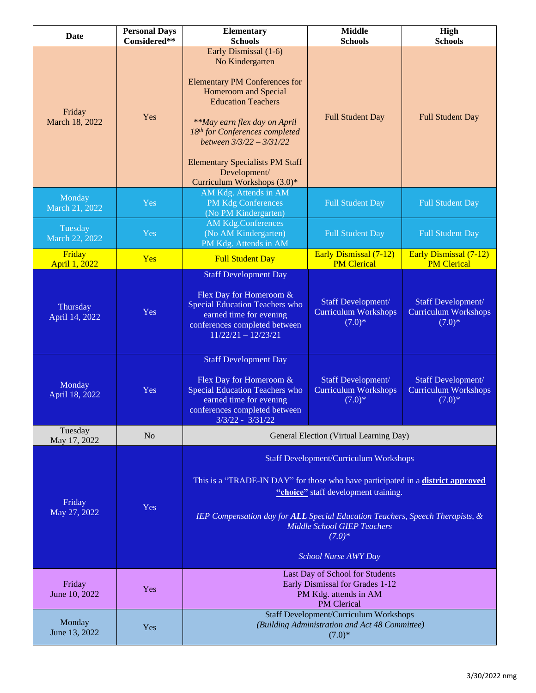| Date                       | <b>Personal Days</b><br>Considered** | <b>Elementary</b><br><b>Schools</b>                                                                                                                                                                                                                                                                                                 | <b>Middle</b><br><b>Schools</b>                               | High<br><b>Schools</b>                                        |
|----------------------------|--------------------------------------|-------------------------------------------------------------------------------------------------------------------------------------------------------------------------------------------------------------------------------------------------------------------------------------------------------------------------------------|---------------------------------------------------------------|---------------------------------------------------------------|
| Friday<br>March 18, 2022   | Yes                                  | Early Dismissal (1-6)<br>No Kindergarten<br><b>Elementary PM Conferences for</b><br><b>Homeroom and Special</b><br><b>Education Teachers</b><br>**May earn flex day on April<br>18th for Conferences completed<br>between 3/3/22 - 3/31/22<br><b>Elementary Specialists PM Staff</b><br>Development/<br>Curriculum Workshops (3.0)* | <b>Full Student Day</b>                                       | <b>Full Student Day</b>                                       |
| Monday<br>March 21, 2022   | Yes                                  | AM Kdg. Attends in AM<br>PM Kdg Conferences<br>(No PM Kindergarten)                                                                                                                                                                                                                                                                 | <b>Full Student Day</b>                                       | <b>Full Student Day</b>                                       |
| Tuesday<br>March 22, 2022  | Yes                                  | <b>AM Kdg.Conferences</b><br>(No AM Kindergarten)<br>PM Kdg. Attends in AM                                                                                                                                                                                                                                                          | <b>Full Student Day</b>                                       | <b>Full Student Day</b>                                       |
| Friday<br>April 1, 2022    | Yes                                  | <b>Full Student Day</b>                                                                                                                                                                                                                                                                                                             | Early Dismissal (7-12)<br><b>PM Clerical</b>                  | Early Dismissal (7-12)<br><b>PM Clerical</b>                  |
| Thursday<br>April 14, 2022 | Yes                                  | <b>Staff Development Day</b><br>Flex Day for Homeroom &<br>Special Education Teachers who<br>earned time for evening<br>conferences completed between<br>$11/22/21 - 12/23/21$                                                                                                                                                      | Staff Development/<br><b>Curriculum Workshops</b><br>$(7.0)*$ | Staff Development/<br><b>Curriculum Workshops</b><br>$(7.0)*$ |
| Monday<br>April 18, 2022   | Yes                                  | <b>Staff Development Day</b><br>Flex Day for Homeroom &<br><b>Special Education Teachers who</b><br>earned time for evening<br>conferences completed between<br>$3/3/22 - 3/31/22$                                                                                                                                                  | Staff Development/<br><b>Curriculum Workshops</b><br>$(7.0)*$ | Staff Development/<br><b>Curriculum Workshops</b><br>$(7.0)*$ |
| Tuesday<br>May 17, 2022    | No                                   | General Election (Virtual Learning Day)                                                                                                                                                                                                                                                                                             |                                                               |                                                               |
| Friday<br>May 27, 2022     | Yes                                  | <b>Staff Development/Curriculum Workshops</b><br>This is a "TRADE-IN DAY" for those who have participated in a district approved<br>"choice" staff development training.<br>IEP Compensation day for ALL Special Education Teachers, Speech Therapists, &<br><b>Middle School GIEP Teachers</b><br>$(7.0)*$<br>School Nurse AWY Day |                                                               |                                                               |
| Friday<br>June 10, 2022    | Yes                                  | Last Day of School for Students<br>Early Dismissal for Grades 1-12<br>PM Kdg. attends in AM<br><b>PM</b> Clerical                                                                                                                                                                                                                   |                                                               |                                                               |
| Monday<br>June 13, 2022    | Yes                                  | Staff Development/Curriculum Workshops<br>(Building Administration and Act 48 Committee)<br>$(7.0)*$                                                                                                                                                                                                                                |                                                               |                                                               |